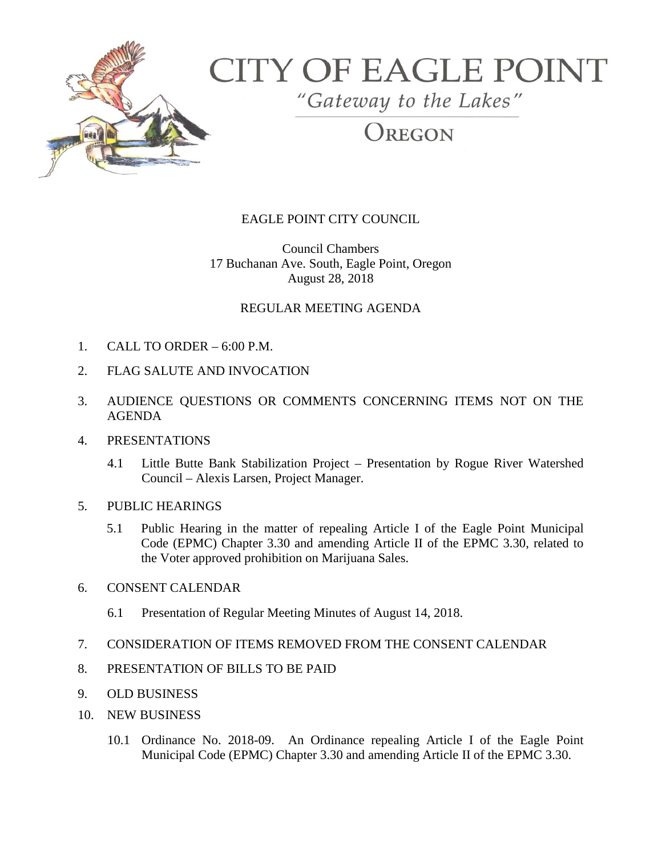

# **CITY OF EAGLE POINT**

"Gateway to the Lakes"

REGON

## EAGLE POINT CITY COUNCIL

Council Chambers 17 Buchanan Ave. South, Eagle Point, Oregon August 28, 2018

### REGULAR MEETING AGENDA

- 1. CALL TO ORDER 6:00 P.M.
- 2. FLAG SALUTE AND INVOCATION
- 3. AUDIENCE QUESTIONS OR COMMENTS CONCERNING ITEMS NOT ON THE AGENDA
- 4. PRESENTATIONS
	- 4.1 Little Butte Bank Stabilization Project Presentation by Rogue River Watershed Council – Alexis Larsen, Project Manager.
- 5. PUBLIC HEARINGS
	- 5.1 Public Hearing in the matter of repealing Article I of the Eagle Point Municipal Code (EPMC) Chapter 3.30 and amending Article II of the EPMC 3.30, related to the Voter approved prohibition on Marijuana Sales.
- 6. CONSENT CALENDAR
	- 6.1 Presentation of Regular Meeting Minutes of August 14, 2018.
- 7. CONSIDERATION OF ITEMS REMOVED FROM THE CONSENT CALENDAR
- 8. PRESENTATION OF BILLS TO BE PAID
- 9. OLD BUSINESS
- 10. NEW BUSINESS
	- 10.1 Ordinance No. 2018-09. An Ordinance repealing Article I of the Eagle Point Municipal Code (EPMC) Chapter 3.30 and amending Article II of the EPMC 3.30.